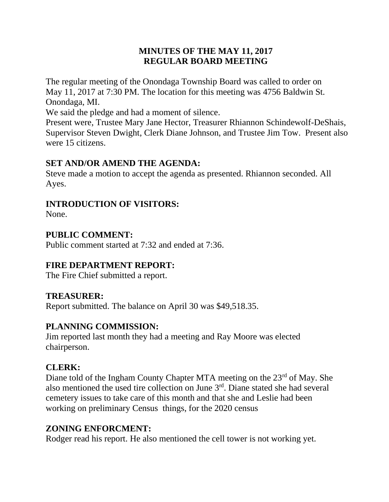## **MINUTES OF THE MAY 11, 2017 REGULAR BOARD MEETING**

The regular meeting of the Onondaga Township Board was called to order on May 11, 2017 at 7:30 PM. The location for this meeting was 4756 Baldwin St. Onondaga, MI.

We said the pledge and had a moment of silence.

Present were, Trustee Mary Jane Hector, Treasurer Rhiannon Schindewolf-DeShais, Supervisor Steven Dwight, Clerk Diane Johnson, and Trustee Jim Tow. Present also were 15 citizens.

# **SET AND/OR AMEND THE AGENDA:**

Steve made a motion to accept the agenda as presented. Rhiannon seconded. All Ayes.

## **INTRODUCTION OF VISITORS:**

None.

# **PUBLIC COMMENT:**

Public comment started at 7:32 and ended at 7:36.

## **FIRE DEPARTMENT REPORT:**

The Fire Chief submitted a report.

## **TREASURER:**

Report submitted. The balance on April 30 was \$49,518.35.

## **PLANNING COMMISSION:**

Jim reported last month they had a meeting and Ray Moore was elected chairperson.

## **CLERK:**

Diane told of the Ingham County Chapter MTA meeting on the 23<sup>rd</sup> of May. She also mentioned the used tire collection on June  $3<sup>rd</sup>$ . Diane stated she had several cemetery issues to take care of this month and that she and Leslie had been working on preliminary Census things, for the 2020 census

## **ZONING ENFORCMENT:**

Rodger read his report. He also mentioned the cell tower is not working yet.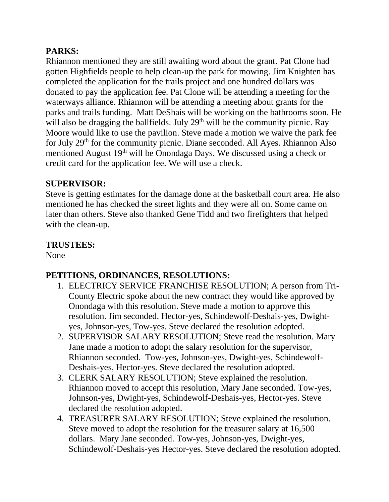# **PARKS:**

Rhiannon mentioned they are still awaiting word about the grant. Pat Clone had gotten Highfields people to help clean-up the park for mowing. Jim Knighten has completed the application for the trails project and one hundred dollars was donated to pay the application fee. Pat Clone will be attending a meeting for the waterways alliance. Rhiannon will be attending a meeting about grants for the parks and trails funding. Matt DeShais will be working on the bathrooms soon. He will also be dragging the ballfields. July 29<sup>th</sup> will be the community picnic. Ray Moore would like to use the pavilion. Steve made a motion we waive the park fee for July 29th for the community picnic. Diane seconded. All Ayes. Rhiannon Also mentioned August 19<sup>th</sup> will be Onondaga Days. We discussed using a check or credit card for the application fee. We will use a check.

#### **SUPERVISOR:**

Steve is getting estimates for the damage done at the basketball court area. He also mentioned he has checked the street lights and they were all on. Some came on later than others. Steve also thanked Gene Tidd and two firefighters that helped with the clean-up.

# **TRUSTEES:**

None

# **PETITIONS, ORDINANCES, RESOLUTIONS:**

- 1. ELECTRICY SERVICE FRANCHISE RESOLUTION; A person from Tri-County Electric spoke about the new contract they would like approved by Onondaga with this resolution. Steve made a motion to approve this resolution. Jim seconded. Hector-yes, Schindewolf-Deshais-yes, Dwightyes, Johnson-yes, Tow-yes. Steve declared the resolution adopted.
- 2. SUPERVISOR SALARY RESOLUTION; Steve read the resolution. Mary Jane made a motion to adopt the salary resolution for the supervisor, Rhiannon seconded. Tow-yes, Johnson-yes, Dwight-yes, Schindewolf-Deshais-yes, Hector-yes. Steve declared the resolution adopted.
- 3. CLERK SALARY RESOLUTION; Steve explained the resolution. Rhiannon moved to accept this resolution, Mary Jane seconded. Tow-yes, Johnson-yes, Dwight-yes, Schindewolf-Deshais-yes, Hector-yes. Steve declared the resolution adopted.
- 4. TREASURER SALARY RESOLUTION; Steve explained the resolution. Steve moved to adopt the resolution for the treasurer salary at 16,500 dollars. Mary Jane seconded. Tow-yes, Johnson-yes, Dwight-yes, Schindewolf-Deshais-yes Hector-yes. Steve declared the resolution adopted.